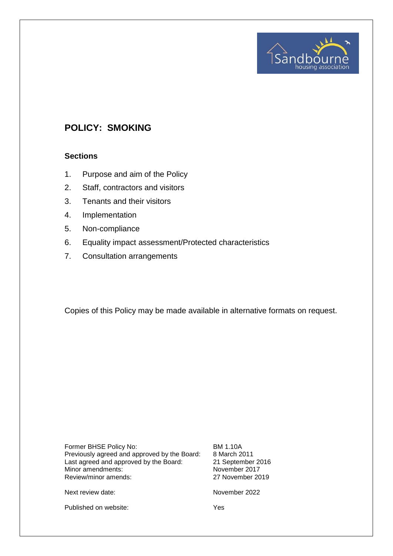# Sandbor

## **POLICY: SMOKING**

#### **Sections**

- 1. Purpose and aim of the Policy
- 2. Staff, contractors and visitors
- 3. Tenants and their visitors
- 4. Implementation
- 5. Non-compliance
- 6. Equality impact assessment/Protected characteristics
- 7. Consultation arrangements

Copies of this Policy may be made available in alternative formats on request.

Former BHSE Policy No: BM 1.10A Previously agreed and approved by the Board: 8 March 2011<br>Last agreed and approved by the Board: 21 September 2016 Last agreed and approved by the Board: 21 September 2017<br>Minor amendments: 2017 Minor amendments:<br>
Review/minor amends:<br>
27 November 2019 Review/minor amends:

Next review date: November 2022

Published on website: Yes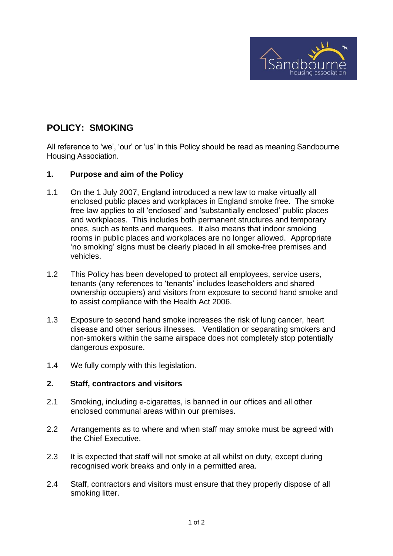

### **POLICY: SMOKING**

All reference to 'we', 'our' or 'us' in this Policy should be read as meaning Sandbourne Housing Association.

#### **1. Purpose and aim of the Policy**

- 1.1 On the 1 July 2007, England introduced a new law to make virtually all enclosed public places and workplaces in England smoke free. The smoke free law applies to all 'enclosed' and 'substantially enclosed' public places and workplaces. This includes both permanent structures and temporary ones, such as tents and marquees. It also means that indoor smoking rooms in public places and workplaces are no longer allowed. Appropriate 'no smoking' signs must be clearly placed in all smoke-free premises and vehicles.
- 1.2 This Policy has been developed to protect all employees, service users, tenants (any references to 'tenants' includes leaseholders and shared ownership occupiers) and visitors from exposure to second hand smoke and to assist compliance with the Health Act 2006.
- 1.3 Exposure to second hand smoke increases the risk of lung cancer, heart disease and other serious illnesses. Ventilation or separating smokers and non-smokers within the same airspace does not completely stop potentially dangerous exposure.
- 1.4 We fully comply with this legislation.

#### **2. Staff, contractors and visitors**

- 2.1 Smoking, including e-cigarettes, is banned in our offices and all other enclosed communal areas within our premises.
- 2.2 Arrangements as to where and when staff may smoke must be agreed with the Chief Executive.
- 2.3 It is expected that staff will not smoke at all whilst on duty, except during recognised work breaks and only in a permitted area.
- 2.4 Staff, contractors and visitors must ensure that they properly dispose of all smoking litter.